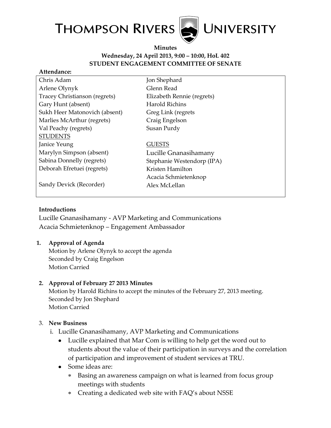

**Minutes Wednesday, 24 April 2013, 9:00 – 10:00, HoL 402 STUDENT ENGAGEMENT COMMITTEE OF SENATE**

#### **Attendance:**

| Chris Adam                    | Jon Shephard               |
|-------------------------------|----------------------------|
| Arlene Olynyk                 | Glenn Read                 |
| Tracey Christianson (regrets) | Elizabeth Rennie (regrets) |
| Gary Hunt (absent)            | Harold Richins             |
| Sukh Heer Matonovich (absent) | Greg Link (regrets         |
| Marlies McArthur (regrets)    | Craig Engelson             |
| Val Peachy (regrets)          | Susan Purdy                |
| <b>STUDENTS</b>               |                            |
| Janice Yeung                  | <b>GUESTS</b>              |
| Marylyn Simpson (absent)      | Lucille Gnanasihamany      |
| Sabina Donnelly (regrets)     | Stephanie Westendorp (IPA) |
| Deborah Efretuei (regrets)    | Kristen Hamilton           |
|                               | Acacia Schmietenknop       |
| Sandy Devick (Recorder)       | Alex McLellan              |
|                               |                            |

### **Introductions**

Lucille Gnanasihamany - AVP Marketing and Communications Acacia Schmietenknop – Engagement Ambassador

### **1. Approval of Agenda**

Motion by Arlene Olynyk to accept the agenda Seconded by Craig Engelson Motion Carried

### **2. Approval of February 27 2013 Minutes**

Motion by Harold Richins to accept the minutes of the February 27, 2013 meeting. Seconded by Jon Shephard Motion Carried

### 3. **New Business**

- i. Lucille Gnanasihamany, AVP Marketing and Communications
	- Lucille explained that Mar Com is willing to help get the word out to students about the value of their participation in surveys and the correlation of participation and improvement of student services at TRU.
	- Some ideas are:
		- Basing an awareness campaign on what is learned from focus group  $\ast$ meetings with students
		- Creating a dedicated web site with FAQ's about NSSE